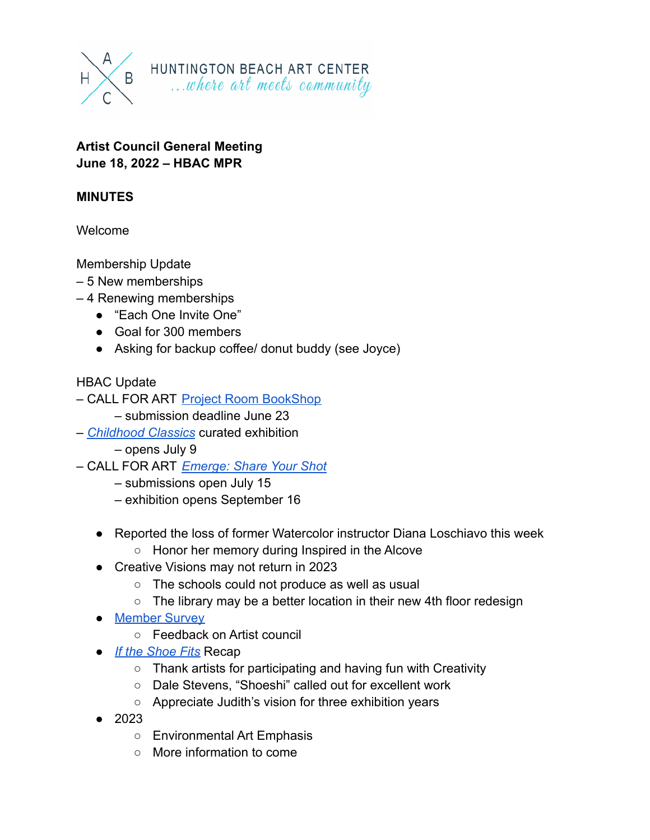

#### **Artist Council General Meeting June 18, 2022 – HBAC MPR**

### **MINUTES**

Welcome

Membership Update

- 5 New memberships
- 4 Renewing memberships
	- "Each One Invite One"
	- Goal for 300 members
	- Asking for backup coffee/ donut buddy (see Joyce)

#### HBAC Update

- CALL FOR ART [Project Room BookShop](https://www.huntingtonbeachartcenter.org/project-room-bookshop-submission.html)
	- submission deadline June 23
- *[Childhood Classics](https://www.huntingtonbeachartcenter.org/upcoming-exhibition-childhood-classics-100-years-of-childrens-book-illustration.html)* curated exhibition
	- opens July 9
- CALL FOR ART *[Emerge: Share Your Shot](https://www.huntingtonbeachartcenter.org/upcoming-exhibition-emerge-share-your-shot.html)*
	- submissions open July 15
	- exhibition opens September 16
	- Reported the loss of former Watercolor instructor Diana Loschiavo this week
		- Honor her memory during Inspired in the Alcove
	- Creative Visions may not return in 2023
		- The schools could not produce as well as usual
		- The library may be a better location in their new 4th floor redesign
	- [Member Survey](https://www.huntingtonbeachartcenter.org/memberships.html)
		- Feedback on Artist council
	- *[If the Shoe Fits](https://www.huntingtonbeachartcenter.org/if-the-shoe-fits.html)* Recap
		- Thank artists for participating and having fun with Creativity
		- Dale Stevens, "Shoeshi" called out for excellent work
		- Appreciate Judith's vision for three exhibition years
	- 2023
		- Environmental Art Emphasis
		- More information to come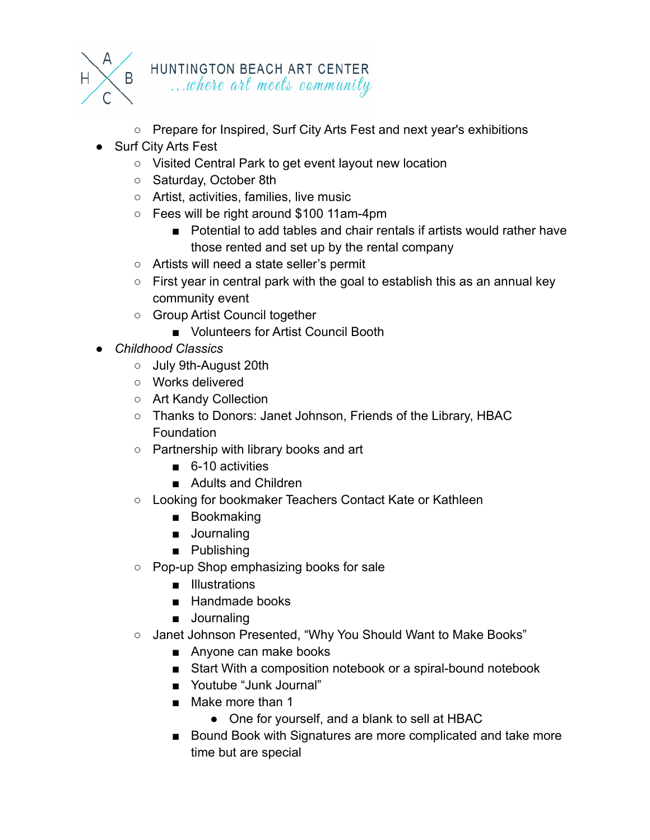

## HUNTINGTON BEACH ART CENTER ...where art meets community

- Prepare for Inspired, Surf City Arts Fest and next year's exhibitions
- Surf City Arts Fest
	- Visited Central Park to get event layout new location
	- Saturday, October 8th
	- Artist, activities, families, live music
	- Fees will be right around \$100 11am-4pm
		- Potential to add tables and chair rentals if artists would rather have those rented and set up by the rental company
	- Artists will need a state seller's permit
	- $\circ$  First year in central park with the goal to establish this as an annual key community event
	- Group Artist Council together
		- Volunteers for Artist Council Booth
- *● Childhood Classics*
	- July 9th-August 20th
	- Works delivered
	- Art Kandy Collection
	- Thanks to Donors: Janet Johnson, Friends of the Library, HBAC Foundation
	- Partnership with library books and art
		- 6-10 activities
		- Adults and Children
	- Looking for bookmaker Teachers Contact Kate or Kathleen
		- Bookmaking
		- Journaling
		- Publishing
	- Pop-up Shop emphasizing books for sale
		- Illustrations
		- Handmade books
		- Journaling
	- Janet Johnson Presented, "Why You Should Want to Make Books"
		- Anyone can make books
		- Start With a composition notebook or a spiral-bound notebook
		- Youtube "Junk Journal"
		- Make more than 1
			- One for yourself, and a blank to sell at HBAC
		- Bound Book with Signatures are more complicated and take more time but are special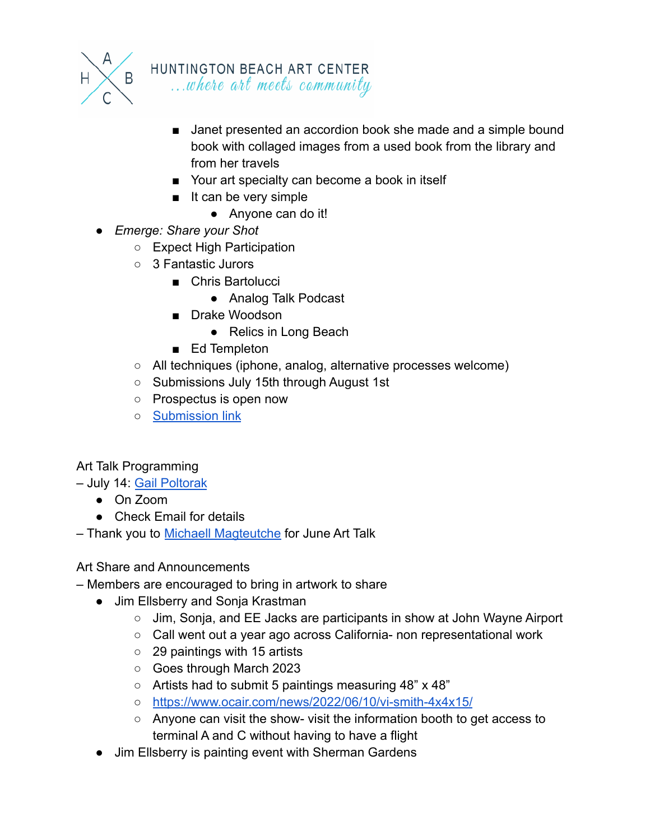

- Janet presented an accordion book she made and a simple bound book with collaged images from a used book from the library and from her travels
- Your art specialty can become a book in itself
- It can be very simple
	- Anyone can do it!
- *● Emerge: Share your Shot*
	- Expect High Participation
	- 3 Fantastic Jurors
		- Chris Bartolucci
			- Analog Talk Podcast
		- Drake Woodson
			- Relics in Long Beach
		- Ed Templeton
	- All techniques (iphone, analog, alternative processes welcome)
	- Submissions July 15th through August 1st
	- Prospectus is open now
	- [Submission link](https://www.huntingtonbeachartcenter.org/upcoming-exhibition-emerge-share-your-shot.html)

#### Art Talk Programming

– July 14: [Gail Poltorak](https://www.huntingtonbeachartcenter.org/artist-council.html)

- On Zoom
- Check Email for details
- Thank you to [Michaell Magteutche](https://www.huntingtonbeachartcenter.org/past-artist-council-events.html) for June Art Talk

#### Art Share and Announcements

– Members are encouraged to bring in artwork to share

- Jim Ellsberry and Sonja Krastman
	- Jim, Sonja, and EE Jacks are participants in show at John Wayne Airport
	- Call went out a year ago across California- non representational work
	- 29 paintings with 15 artists
	- Goes through March 2023
	- Artists had to submit 5 paintings measuring 48" x 48"
	- <https://www.ocair.com/news/2022/06/10/vi-smith-4x4x15/>
	- Anyone can visit the show- visit the information booth to get access to terminal A and C without having to have a flight
- Jim Ellsberry is painting event with Sherman Gardens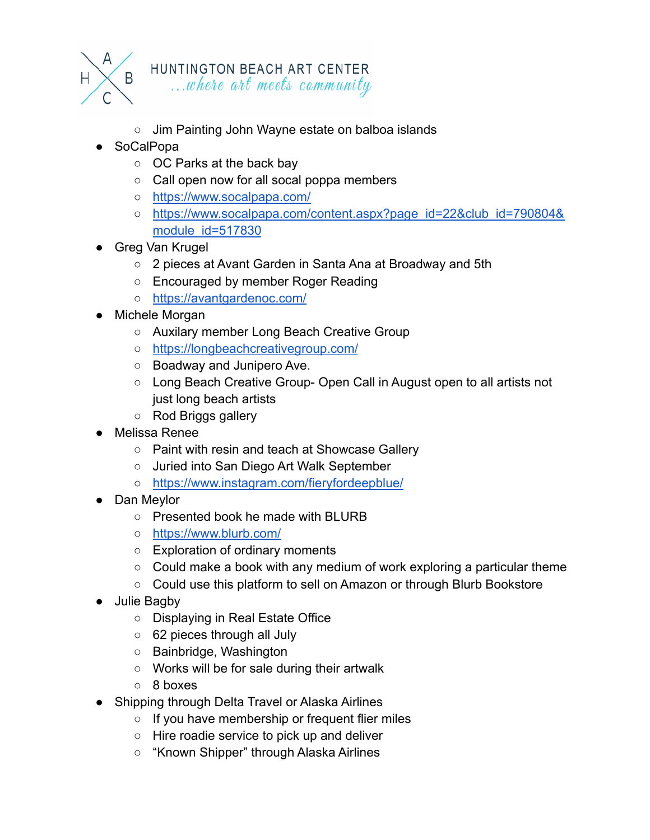

## HUNTINGTON BEACH ART CENTER ...where art meets community

- Jim Painting John Wayne estate on balboa islands
- **SoCalPopa** 
	- OC Parks at the back bay
	- Call open now for all socal poppa members
	- <https://www.socalpapa.com/>
	- [https://www.socalpapa.com/content.aspx?page\\_id=22&club\\_id=790804&](https://www.socalpapa.com/content.aspx?page_id=22&club_id=790804&module_id=517830) [module\\_id=517830](https://www.socalpapa.com/content.aspx?page_id=22&club_id=790804&module_id=517830)
- **Greg Van Krugel** 
	- 2 pieces at Avant Garden in Santa Ana at Broadway and 5th
	- Encouraged by member Roger Reading
	- <https://avantgardenoc.com/>
- Michele Morgan
	- Auxilary member Long Beach Creative Group
	- <https://longbeachcreativegroup.com/>
	- Boadway and Junipero Ave.
	- Long Beach Creative Group- Open Call in August open to all artists not just long beach artists
	- Rod Briggs gallery
- Melissa Renee
	- Paint with resin and teach at Showcase Gallery
	- Juried into San Diego Art Walk September
	- <https://www.instagram.com/fieryfordeepblue/>
- Dan Meylor
	- Presented book he made with BLURB
	- <https://www.blurb.com/>
	- Exploration of ordinary moments
	- Could make a book with any medium of work exploring a particular theme
	- Could use this platform to sell on Amazon or through Blurb Bookstore
- Julie Bagby
	- Displaying in Real Estate Office
	- 62 pieces through all July
	- Bainbridge, Washington
	- Works will be for sale during their artwalk
	- 8 boxes
- Shipping through Delta Travel or Alaska Airlines
	- If you have membership or frequent flier miles
	- Hire roadie service to pick up and deliver
	- "Known Shipper" through Alaska Airlines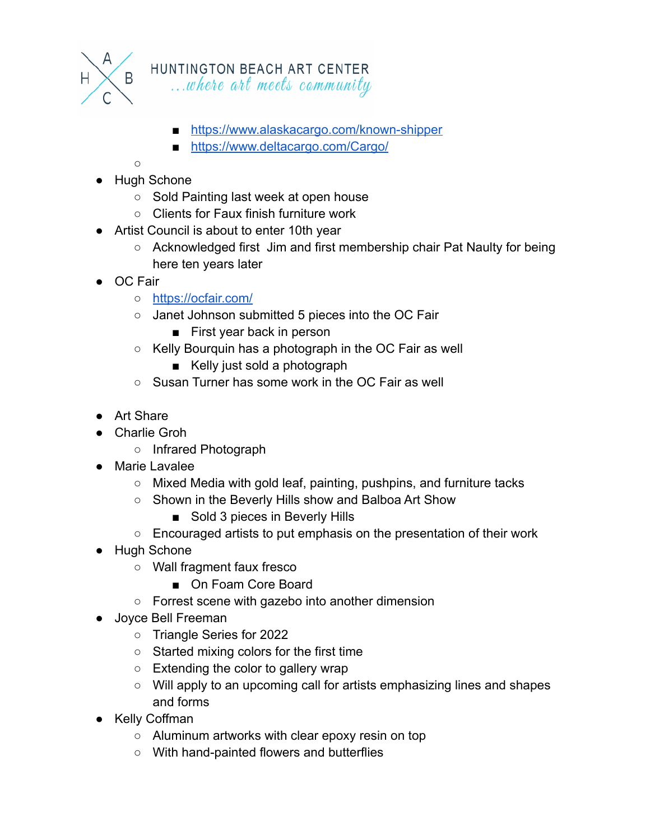

# HUNTINGTON BEACH ART CENTER

...where art meets community

- <https://www.alaskacargo.com/known-shipper>
- <https://www.deltacargo.com/Cargo/>

 $\Omega$ 

- Hugh Schone
	- Sold Painting last week at open house
	- Clients for Faux finish furniture work
- Artist Council is about to enter 10th year
	- Acknowledged first Jim and first membership chair Pat Naulty for being here ten years later
- OC Fair
	- <https://ocfair.com/>
	- Janet Johnson submitted 5 pieces into the OC Fair
		- First year back in person
	- Kelly Bourquin has a photograph in the OC Fair as well
		- Kelly just sold a photograph
	- Susan Turner has some work in the OC Fair as well
- Art Share
- Charlie Groh
	- Infrared Photograph
- Marie Lavalee
	- Mixed Media with gold leaf, painting, pushpins, and furniture tacks
	- Shown in the Beverly Hills show and Balboa Art Show
		- Sold 3 pieces in Beverly Hills
	- Encouraged artists to put emphasis on the presentation of their work
- Hugh Schone
	- Wall fragment faux fresco
		- On Foam Core Board
	- Forrest scene with gazebo into another dimension
- Joyce Bell Freeman
	- Triangle Series for 2022
	- Started mixing colors for the first time
	- Extending the color to gallery wrap
	- Will apply to an upcoming call for artists emphasizing lines and shapes and forms
- Kelly Coffman
	- Aluminum artworks with clear epoxy resin on top
	- With hand-painted flowers and butterflies